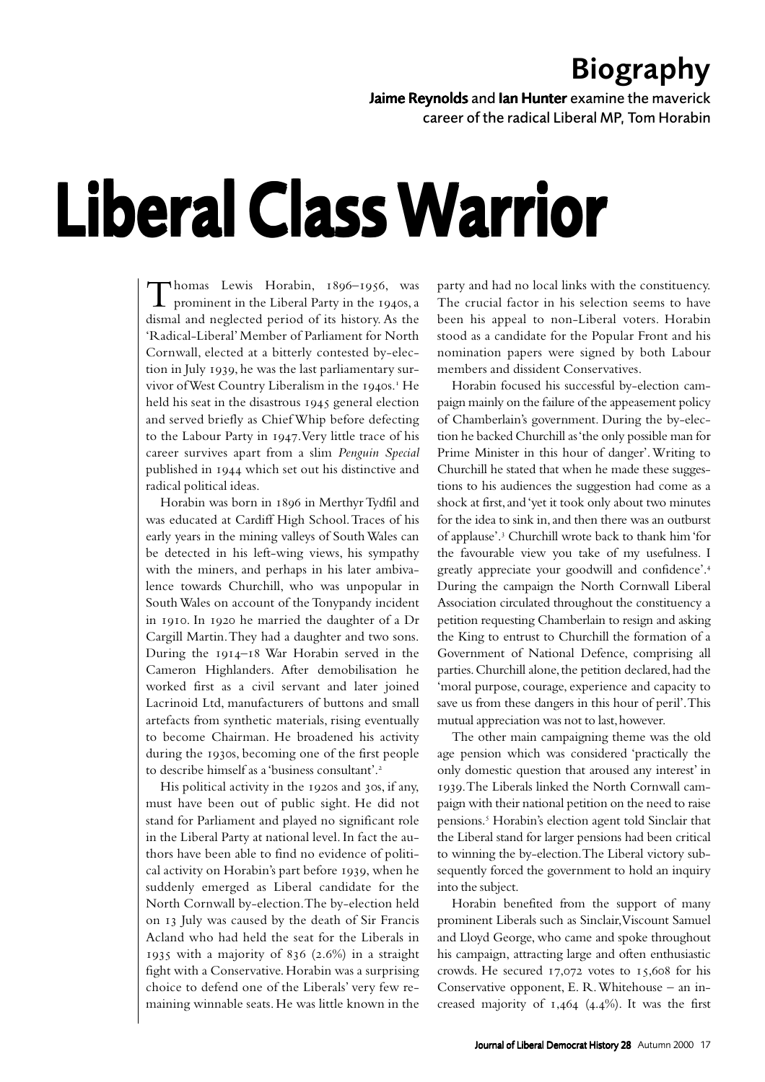## Biography

Jaime Reynolds and Ian Hunter examine the maverick

career of the radical Liberal MP, Tom Horabin

## Liberal Class Warrior

Thomas Lewis Horabin, 1896–1956, was<br>prominent in the Liberal Party in the 1940s, a dismal and neglected period of its history. As the 'Radical-Liberal' Member of Parliament for North Cornwall, elected at a bitterly contested by-election in July 1939, he was the last parliamentary survivor of West Country Liberalism in the 1940s.<sup>1</sup> He held his seat in the disastrous 1945 general election and served briefly as Chief Whip before defecting to the Labour Party in 1947. Very little trace of his career survives apart from a slim *Penguin Special* published in 1944 which set out his distinctive and radical political ideas.

Horabin was born in 1896 in Merthyr Tydfil and was educated at Cardiff High School. Traces of his early years in the mining valleys of South Wales can be detected in his left-wing views, his sympathy with the miners, and perhaps in his later ambivalence towards Churchill, who was unpopular in South Wales on account of the Tonypandy incident in 1910. In 1920 he married the daughter of a Dr Cargill Martin. They had a daughter and two sons. During the  $1914-18$  War Horabin served in the Cameron Highlanders. After demobilisation he worked first as a civil servant and later joined Lacrinoid Ltd, manufacturers of buttons and small artefacts from synthetic materials, rising eventually to become Chairman. He broadened his activity during the 1930s, becoming one of the first people to describe himself as a 'business consultant'.

His political activity in the 1920s and 30s, if any, must have been out of public sight. He did not stand for Parliament and played no significant role in the Liberal Party at national level. In fact the authors have been able to find no evidence of political activity on Horabin's part before 1939, when he suddenly emerged as Liberal candidate for the North Cornwall by-election. The by-election held on 13 July was caused by the death of Sir Francis Acland who had held the seat for the Liberals in 1935 with a majority of  $836$  (2.6%) in a straight fight with a Conservative. Horabin was a surprising choice to defend one of the Liberals' very few remaining winnable seats. He was little known in the

party and had no local links with the constituency. The crucial factor in his selection seems to have been his appeal to non-Liberal voters. Horabin stood as a candidate for the Popular Front and his nomination papers were signed by both Labour members and dissident Conservatives.

Horabin focused his successful by-election campaign mainly on the failure of the appeasement policy of Chamberlain's government. During the by-election he backed Churchill as 'the only possible man for Prime Minister in this hour of danger'. Writing to Churchill he stated that when he made these suggestions to his audiences the suggestion had come as a shock at first, and 'yet it took only about two minutes for the idea to sink in, and then there was an outburst of applause'.<sup>3</sup> Churchill wrote back to thank him 'for the favourable view you take of my usefulness. I greatly appreciate your goodwill and confidence'. During the campaign the North Cornwall Liberal Association circulated throughout the constituency a petition requesting Chamberlain to resign and asking the King to entrust to Churchill the formation of a Government of National Defence, comprising all parties. Churchill alone, the petition declared, had the 'moral purpose, courage, experience and capacity to save us from these dangers in this hour of peril'. This mutual appreciation was not to last, however.

The other main campaigning theme was the old age pension which was considered 'practically the only domestic question that aroused any interest' in . The Liberals linked the North Cornwall campaign with their national petition on the need to raise pensions. Horabin's election agent told Sinclair that the Liberal stand for larger pensions had been critical to winning the by-election. The Liberal victory subsequently forced the government to hold an inquiry into the subject.

Horabin benefited from the support of many prominent Liberals such as Sinclair, Viscount Samuel and Lloyd George, who came and spoke throughout his campaign, attracting large and often enthusiastic crowds. He secured  $17,072$  votes to  $15,608$  for his Conservative opponent, E. R. Whitehouse – an increased majority of  $1,464$  (4.4%). It was the first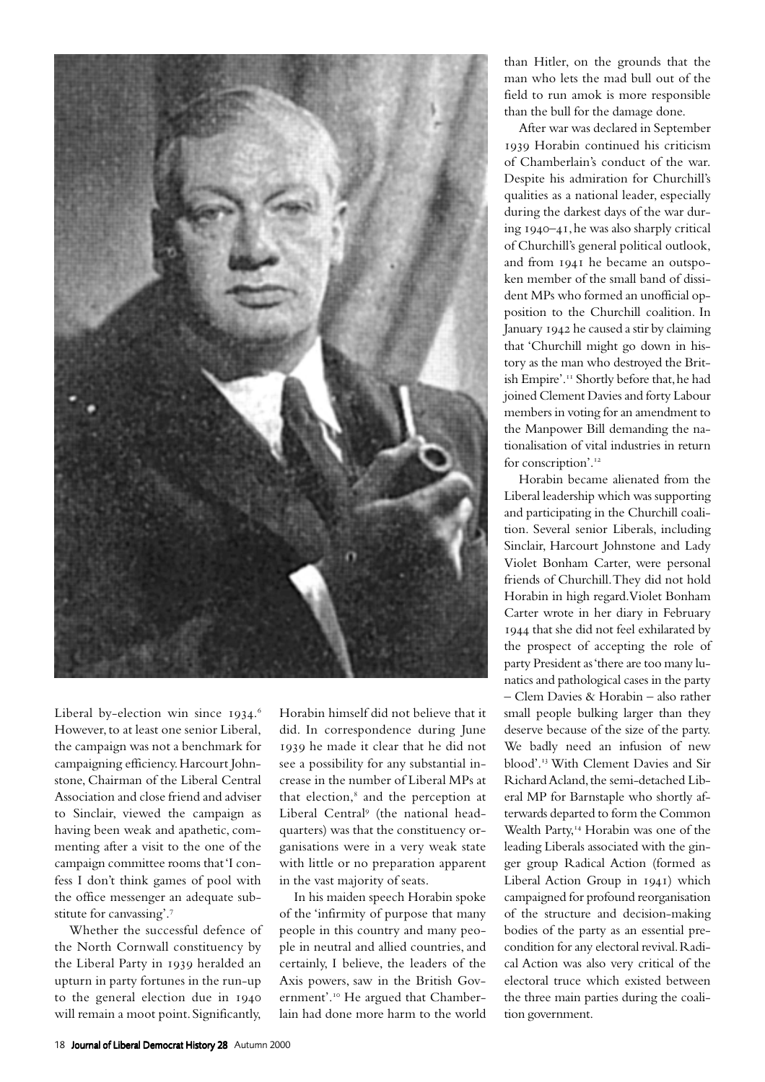

Liberal by-election win since 1934.6 However, to at least one senior Liberal, the campaign was not a benchmark for campaigning efficiency. Harcourt Johnstone, Chairman of the Liberal Central Association and close friend and adviser to Sinclair, viewed the campaign as having been weak and apathetic, commenting after a visit to the one of the campaign committee rooms that 'I confess I don't think games of pool with the office messenger an adequate substitute for canvassing'.

Whether the successful defence of the North Cornwall constituency by the Liberal Party in 1939 heralded an upturn in party fortunes in the run-up to the general election due in will remain a moot point. Significantly,

Horabin himself did not believe that it did. In correspondence during June 1939 he made it clear that he did not see a possibility for any substantial increase in the number of Liberal MPs at that election, $<sup>8</sup>$  and the perception at</sup> Liberal Central<sup>9</sup> (the national headquarters) was that the constituency organisations were in a very weak state with little or no preparation apparent in the vast majority of seats.

In his maiden speech Horabin spoke of the 'infirmity of purpose that many people in this country and many people in neutral and allied countries, and certainly, I believe, the leaders of the Axis powers, saw in the British Government'.<sup>10</sup> He argued that Chamberlain had done more harm to the world than Hitler, on the grounds that the man who lets the mad bull out of the field to run amok is more responsible than the bull for the damage done.

After war was declared in September 1939 Horabin continued his criticism of Chamberlain's conduct of the war. Despite his admiration for Churchill's qualities as a national leader, especially during the darkest days of the war during 1940-41, he was also sharply critical of Churchill's general political outlook, and from 1941 he became an outspoken member of the small band of dissident MPs who formed an unofficial opposition to the Churchill coalition. In January 1942 he caused a stir by claiming that 'Churchill might go down in history as the man who destroyed the British Empire'.<sup>11</sup> Shortly before that, he had joined Clement Davies and forty Labour members in voting for an amendment to the Manpower Bill demanding the nationalisation of vital industries in return for conscription'.<sup>12</sup>

Horabin became alienated from the Liberal leadership which was supporting and participating in the Churchill coalition. Several senior Liberals, including Sinclair, Harcourt Johnstone and Lady Violet Bonham Carter, were personal friends of Churchill. They did not hold Horabin in high regard. Violet Bonham Carter wrote in her diary in February 1944 that she did not feel exhilarated by the prospect of accepting the role of party President as 'there are too many lunatics and pathological cases in the party – Clem Davies & Horabin – also rather small people bulking larger than they deserve because of the size of the party. We badly need an infusion of new blood'.<sup>13</sup> With Clement Davies and Sir Richard Acland, the semi-detached Liberal MP for Barnstaple who shortly afterwards departed to form the Common Wealth Party,<sup>14</sup> Horabin was one of the leading Liberals associated with the ginger group Radical Action (formed as Liberal Action Group in 1941) which campaigned for profound reorganisation of the structure and decision-making bodies of the party as an essential precondition for any electoral revival. Radical Action was also very critical of the electoral truce which existed between the three main parties during the coalition government.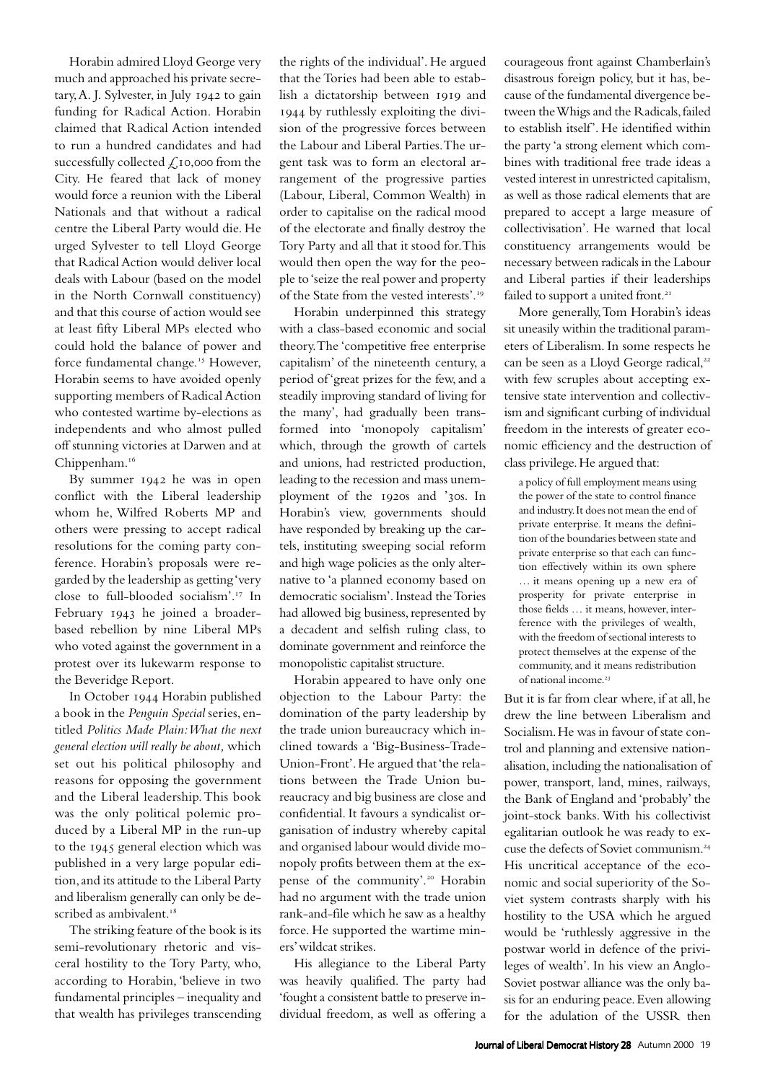Horabin admired Lloyd George very much and approached his private secretary, A. J. Sylvester, in July 1942 to gain funding for Radical Action. Horabin claimed that Radical Action intended to run a hundred candidates and had successfully collected  $\mathcal{L}$ , 10,000 from the City. He feared that lack of money would force a reunion with the Liberal Nationals and that without a radical centre the Liberal Party would die. He urged Sylvester to tell Lloyd George that Radical Action would deliver local deals with Labour (based on the model in the North Cornwall constituency) and that this course of action would see at least fifty Liberal MPs elected who could hold the balance of power and force fundamental change.<sup>15</sup> However, Horabin seems to have avoided openly supporting members of Radical Action who contested wartime by-elections as independents and who almost pulled off stunning victories at Darwen and at Chippenham.

By summer  $1942$  he was in open conflict with the Liberal leadership whom he, Wilfred Roberts MP and others were pressing to accept radical resolutions for the coming party conference. Horabin's proposals were regarded by the leadership as getting 'very close to full-blooded socialism'.<sup>17</sup> In February 1943 he joined a broaderbased rebellion by nine Liberal MPs who voted against the government in a protest over its lukewarm response to the Beveridge Report.

In October 1944 Horabin published a book in the *Penguin Special* series, entitled *Politics Made Plain: What the next general election will really be about,* which set out his political philosophy and reasons for opposing the government and the Liberal leadership. This book was the only political polemic produced by a Liberal MP in the run-up to the 1945 general election which was published in a very large popular edition, and its attitude to the Liberal Party and liberalism generally can only be described as ambivalent.<sup>18</sup>

The striking feature of the book is its semi-revolutionary rhetoric and visceral hostility to the Tory Party, who, according to Horabin, 'believe in two fundamental principles – inequality and that wealth has privileges transcending

the rights of the individual'. He argued that the Tories had been able to establish a dictatorship between 1919 and by ruthlessly exploiting the division of the progressive forces between the Labour and Liberal Parties. The urgent task was to form an electoral arrangement of the progressive parties (Labour, Liberal, Common Wealth) in order to capitalise on the radical mood of the electorate and finally destroy the Tory Party and all that it stood for. This would then open the way for the people to 'seize the real power and property of the State from the vested interests'.

Horabin underpinned this strategy with a class-based economic and social theory. The 'competitive free enterprise capitalism' of the nineteenth century, a period of 'great prizes for the few, and a steadily improving standard of living for the many', had gradually been transformed into 'monopoly capitalism' which, through the growth of cartels and unions, had restricted production, leading to the recession and mass unemployment of the 1920s and '30s. In Horabin's view, governments should have responded by breaking up the cartels, instituting sweeping social reform and high wage policies as the only alternative to 'a planned economy based on democratic socialism'. Instead the Tories had allowed big business, represented by a decadent and selfish ruling class, to dominate government and reinforce the monopolistic capitalist structure.

Horabin appeared to have only one objection to the Labour Party: the domination of the party leadership by the trade union bureaucracy which inclined towards a 'Big-Business-Trade-Union-Front'. He argued that 'the relations between the Trade Union bureaucracy and big business are close and confidential. It favours a syndicalist organisation of industry whereby capital and organised labour would divide monopoly profits between them at the expense of the community'.<sup>20</sup> Horabin had no argument with the trade union rank-and-file which he saw as a healthy force. He supported the wartime miners' wildcat strikes.

His allegiance to the Liberal Party was heavily qualified. The party had 'fought a consistent battle to preserve individual freedom, as well as offering a

courageous front against Chamberlain's disastrous foreign policy, but it has, because of the fundamental divergence between the Whigs and the Radicals, failed to establish itself'. He identified within the party 'a strong element which combines with traditional free trade ideas a vested interest in unrestricted capitalism, as well as those radical elements that are prepared to accept a large measure of collectivisation'. He warned that local constituency arrangements would be necessary between radicals in the Labour and Liberal parties if their leaderships failed to support a united front.<sup>21</sup>

More generally, Tom Horabin's ideas sit uneasily within the traditional parameters of Liberalism. In some respects he can be seen as a Lloyd George radical, with few scruples about accepting extensive state intervention and collectivism and significant curbing of individual freedom in the interests of greater economic efficiency and the destruction of class privilege. He argued that:

a policy of full employment means using the power of the state to control finance and industry. It does not mean the end of private enterprise. It means the definition of the boundaries between state and private enterprise so that each can function effectively within its own sphere … it means opening up a new era of prosperity for private enterprise in those fields … it means, however, interference with the privileges of wealth, with the freedom of sectional interests to protect themselves at the expense of the community, and it means redistribution of national income.

But it is far from clear where, if at all, he drew the line between Liberalism and Socialism. He was in favour of state control and planning and extensive nationalisation, including the nationalisation of power, transport, land, mines, railways, the Bank of England and 'probably' the joint-stock banks. With his collectivist egalitarian outlook he was ready to excuse the defects of Soviet communism. His uncritical acceptance of the economic and social superiority of the Soviet system contrasts sharply with his hostility to the USA which he argued would be 'ruthlessly aggressive in the postwar world in defence of the privileges of wealth'. In his view an Anglo-Soviet postwar alliance was the only basis for an enduring peace. Even allowing for the adulation of the USSR then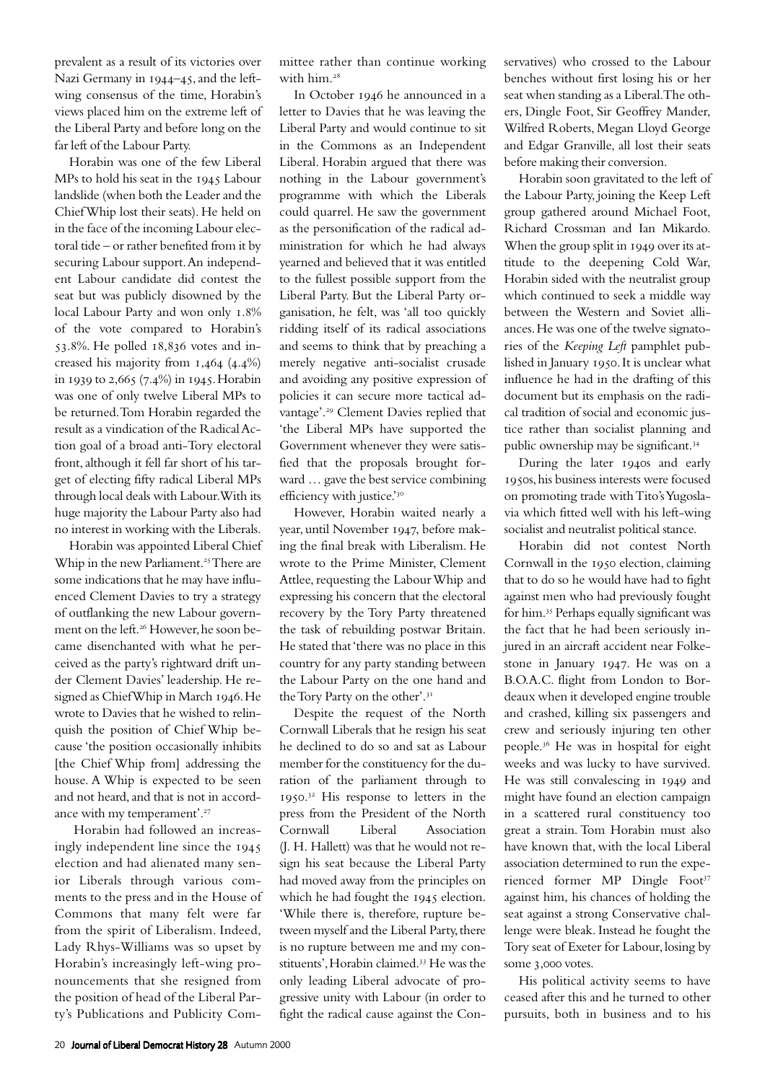prevalent as a result of its victories over Nazi Germany in 1944-45, and the leftwing consensus of the time, Horabin's views placed him on the extreme left of the Liberal Party and before long on the far left of the Labour Party.

Horabin was one of the few Liberal MPs to hold his seat in the 1945 Labour landslide (when both the Leader and the Chief Whip lost their seats). He held on in the face of the incoming Labour electoral tide – or rather benefited from it by securing Labour support. An independent Labour candidate did contest the seat but was publicly disowned by the local Labour Party and won only 1.8% of the vote compared to Horabin's  $53.8\%$ . He polled  $18.836$  votes and increased his majority from  $1,464$  (4.4%) in 1939 to 2,665  $(7.4\%)$  in 1945. Horabin was one of only twelve Liberal MPs to be returned. Tom Horabin regarded the result as a vindication of the Radical Action goal of a broad anti-Tory electoral front, although it fell far short of his target of electing fifty radical Liberal MPs through local deals with Labour. With its huge majority the Labour Party also had no interest in working with the Liberals.

Horabin was appointed Liberal Chief Whip in the new Parliament.<sup>25</sup> There are some indications that he may have influenced Clement Davies to try a strategy of outflanking the new Labour government on the left.<sup>26</sup> However, he soon became disenchanted with what he perceived as the party's rightward drift under Clement Davies' leadership. He resigned as Chief Whip in March 1946. He wrote to Davies that he wished to relinquish the position of Chief Whip because 'the position occasionally inhibits [the Chief Whip from] addressing the house. A Whip is expected to be seen and not heard, and that is not in accordance with my temperament'.

Horabin had followed an increasingly independent line since the 1945 election and had alienated many senior Liberals through various comments to the press and in the House of Commons that many felt were far from the spirit of Liberalism. Indeed, Lady Rhys-Williams was so upset by Horabin's increasingly left-wing pronouncements that she resigned from the position of head of the Liberal Party's Publications and Publicity Committee rather than continue working with him.

In October 1946 he announced in a letter to Davies that he was leaving the Liberal Party and would continue to sit in the Commons as an Independent Liberal. Horabin argued that there was nothing in the Labour government's programme with which the Liberals could quarrel. He saw the government as the personification of the radical administration for which he had always yearned and believed that it was entitled to the fullest possible support from the Liberal Party. But the Liberal Party organisation, he felt, was 'all too quickly ridding itself of its radical associations and seems to think that by preaching a merely negative anti-socialist crusade and avoiding any positive expression of policies it can secure more tactical advantage'.<sup>29</sup> Clement Davies replied that 'the Liberal MPs have supported the Government whenever they were satisfied that the proposals brought forward … gave the best service combining efficiency with justice.'30

However, Horabin waited nearly a year, until November 1947, before making the final break with Liberalism. He wrote to the Prime Minister, Clement Attlee, requesting the Labour Whip and expressing his concern that the electoral recovery by the Tory Party threatened the task of rebuilding postwar Britain. He stated that 'there was no place in this country for any party standing between the Labour Party on the one hand and the Tory Party on the other'.

Despite the request of the North Cornwall Liberals that he resign his seat he declined to do so and sat as Labour member for the constituency for the duration of the parliament through to 1950.<sup>32</sup> His response to letters in the press from the President of the North Cornwall Liberal Association (J. H. Hallett) was that he would not resign his seat because the Liberal Party had moved away from the principles on which he had fought the 1945 election. 'While there is, therefore, rupture between myself and the Liberal Party, there is no rupture between me and my constituents', Horabin claimed.<sup>33</sup> He was the only leading Liberal advocate of progressive unity with Labour (in order to fight the radical cause against the Conservatives) who crossed to the Labour benches without first losing his or her seat when standing as a Liberal. The others, Dingle Foot, Sir Geoffrey Mander, Wilfred Roberts, Megan Lloyd George and Edgar Granville, all lost their seats before making their conversion.

Horabin soon gravitated to the left of the Labour Party, joining the Keep Left group gathered around Michael Foot, Richard Crossman and Ian Mikardo. When the group split in 1949 over its attitude to the deepening Cold War, Horabin sided with the neutralist group which continued to seek a middle way between the Western and Soviet alliances. He was one of the twelve signatories of the *Keeping Left* pamphlet published in January 1950. It is unclear what influence he had in the drafting of this document but its emphasis on the radical tradition of social and economic justice rather than socialist planning and public ownership may be significant.

During the later 1940s and early 1950s, his business interests were focused on promoting trade with Tito's Yugoslavia which fitted well with his left-wing socialist and neutralist political stance.

Horabin did not contest North Cornwall in the 1950 election, claiming that to do so he would have had to fight against men who had previously fought for him.<sup>35</sup> Perhaps equally significant was the fact that he had been seriously injured in an aircraft accident near Folkestone in January 1947. He was on a B.O.A.C. flight from London to Bordeaux when it developed engine trouble and crashed, killing six passengers and crew and seriously injuring ten other people.<sup>36</sup> He was in hospital for eight weeks and was lucky to have survived. He was still convalescing in 1949 and might have found an election campaign in a scattered rural constituency too great a strain. Tom Horabin must also have known that, with the local Liberal association determined to run the experienced former MP Dingle Foot against him, his chances of holding the seat against a strong Conservative challenge were bleak. Instead he fought the Tory seat of Exeter for Labour, losing by some 3,000 votes.

His political activity seems to have ceased after this and he turned to other pursuits, both in business and to his